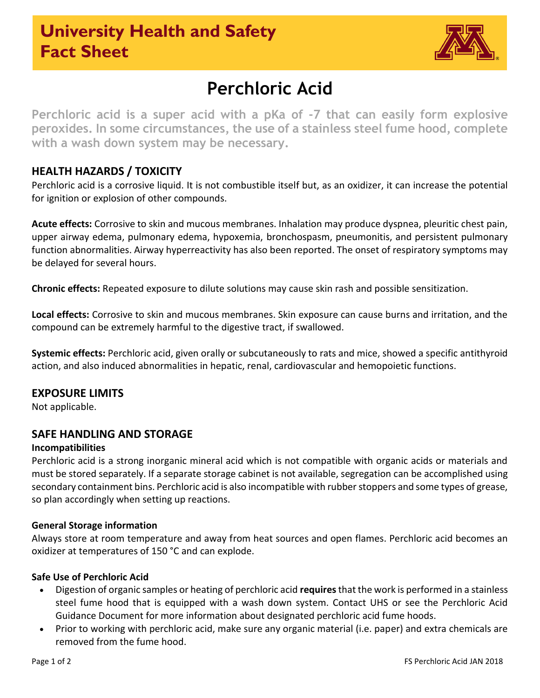## **University Health and Safety Fact Sheet**



# **Perchloric Acid**

**Perchloric acid is a super acid with a pKa of -7 that can easily form explosive peroxides. In some circumstances, the use of a stainless steel fume hood, complete with a wash down system may be necessary.**

## **HEALTH HAZARDS / TOXICITY**

Perchloric acid is a corrosive liquid. It is not combustible itself but, as an oxidizer, it can increase the potential for ignition or explosion of other compounds.

**Acute effects:** Corrosive to skin and mucous membranes. Inhalation may produce dyspnea, pleuritic chest pain, upper airway edema, pulmonary edema, hypoxemia, bronchospasm, pneumonitis, and persistent pulmonary function abnormalities. Airway hyperreactivity has also been reported. The onset of respiratory symptoms may be delayed for several hours.

**Chronic effects:** Repeated exposure to dilute solutions may cause skin rash and possible sensitization.

**Local effects:** Corrosive to skin and mucous membranes. Skin exposure can cause burns and irritation, and the compound can be extremely harmful to the digestive tract, if swallowed.

**Systemic effects:** Perchloric acid, given orally or subcutaneously to rats and mice, showed a specific antithyroid action, and also induced abnormalities in hepatic, renal, cardiovascular and hemopoietic functions.

## **EXPOSURE LIMITS**

Not applicable.

## **SAFE HANDLING AND STORAGE**

### **Incompatibilities**

Perchloric acid is a strong inorganic mineral acid which is not compatible with organic acids or materials and must be stored separately. If a separate storage cabinet is not available, segregation can be accomplished using secondary containment bins. Perchloric acid is also incompatible with rubber stoppers and some types of grease, so plan accordingly when setting up reactions.

#### **General Storage information**

Always store at room temperature and away from heat sources and open flames. Perchloric acid becomes an oxidizer at temperatures of 150 °C and can explode.

#### **Safe Use of Perchloric Acid**

- Digestion of organic samples or heating of perchloric acid **requires**that the work is performed in a stainless steel fume hood that is equipped with a wash down system. Contact UHS or see the Perchloric Acid Guidance Document for more information about designated perchloric acid fume hoods.
- Prior to working with perchloric acid, make sure any organic material (i.e. paper) and extra chemicals are removed from the fume hood.